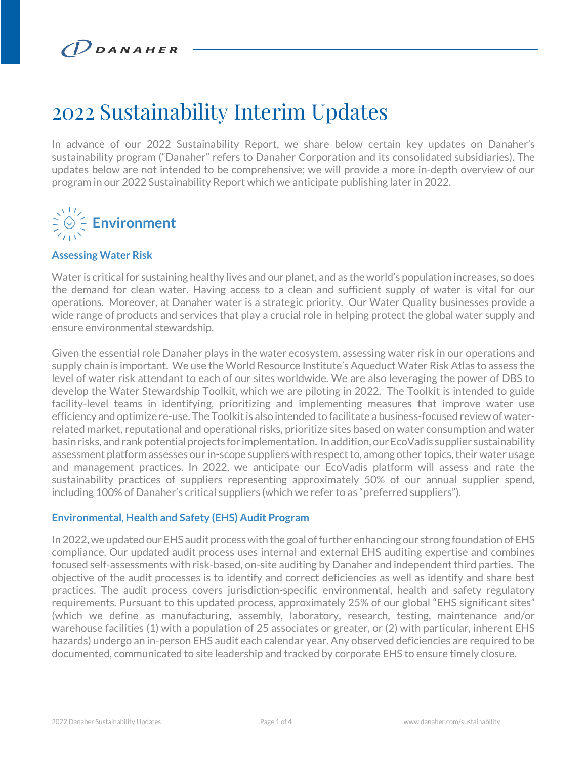# 2022 Sustainability Interim Updates

In advance of our 2022 Sustainability Report, we share below certain key updates on Danaher's sustainability program ("Danaher" refers to Danaher Corporation and its consolidated subsidiaries). The updates below are not intended to be comprehensive; we will provide a more in-depth overview of our program in our 2022 Sustainability Report which we anticipate publishing later in 2022.

# **Environment**

# **Assessing Water Risk**

Water is critical for sustaining healthy lives and our planet, and as the world's population increases, so does the demand for clean water. Having access to a clean and sufficient supply of water is vital for our operations. Moreover, at Danaher water is a strategic priority. Our Water Quality businesses provide a wide range of products and services that play a crucial role in helping protect the global water supply and ensure environmental stewardship.

Given the essential role Danaher plays in the water ecosystem, assessing water risk in our operations and supply chain is important. We use the World Resource Institute's Aqueduct Water Risk Atlas to assess the level of water risk attendant to each of our sites worldwide. We are also leveraging the power of DBS to develop the Water Stewardship Toolkit, which we are piloting in 2022. The Toolkit is intended to guide facility-level teams in identifying, prioritizing and implementing measures that improve water use efficiency and optimize re-use. The Toolkit is also intended to facilitate a business-focused review of waterrelated market, reputational and operational risks, prioritize sites based on water consumption and water basin risks, and rank potential projects for implementation. In addition, our EcoVadis supplier sustainability assessment platform assesses our in-scope suppliers with respect to, among other topics, their water usage and management practices. In 2022, we anticipate our EcoVadis platform will assess and rate the sustainability practices of suppliers representing approximately 50% of our annual supplier spend, including 100% of Danaher's critical suppliers (which we refer to as "preferred suppliers").

#### **Environmental, Health and Safety (EHS) Audit Program**

In 2022, we updated our EHS audit process with the goal of further enhancing our strong foundation of EHS compliance. Our updated audit process uses internal and external EHS auditing expertise and combines focused self-assessments with risk-based, on-site auditing by Danaher and independent third parties. The objective of the audit processes is to identify and correct deficiencies as well as identify and share best practices. The audit process covers jurisdiction-specific environmental, health and safety regulatory requirements. Pursuant to this updated process, approximately 25% of our global "EHS significant sites" (which we define as manufacturing, assembly, laboratory, research, testing, maintenance and/or warehouse facilities (1) with a population of 25 associates or greater, or (2) with particular, inherent EHS hazards) undergo an in-person EHS audit each calendar year. Any observed deficiencies are required to be documented, communicated to site leadership and tracked by corporate EHS to ensure timely closure.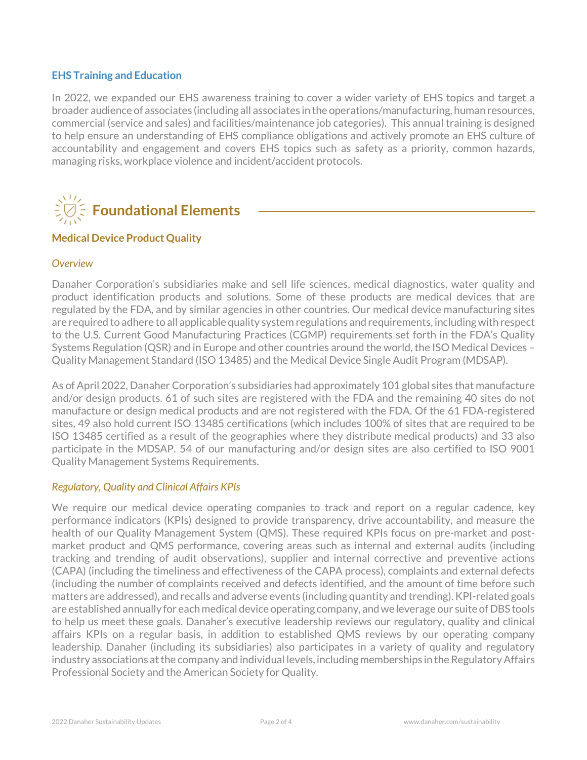## **EHS Training and Education**

In 2022, we expanded our EHS awareness training to cover a wider variety of EHS topics and target a broader audience of associates (including all associates in the operations/manufacturing, human resources, commercial (service and sales) and facilities/maintenance job categories). This annual training is designed to help ensure an understanding of EHS compliance obligations and actively promote an EHS culture of accountability and engagement and covers EHS topics such as safety as a priority, common hazards, managing risks, workplace violence and incident/accident protocols.



#### **Medical Device Product Quality**

#### *Overview*

Danaher Corporation's subsidiaries make and sell life sciences, medical diagnostics, water quality and product identification products and solutions. Some of these products are medical devices that are regulated by the FDA, and by similar agencies in other countries. Our medical device manufacturing sites are required to adhere to all applicable quality system regulations and requirements, including with respect to the U.S. Current Good Manufacturing Practices (CGMP) requirements set forth in the FDA's Quality Systems Regulation (QSR) and in Europe and other countries around the world, the ISO Medical Devices – Quality Management Standard (ISO 13485) and the Medical Device Single Audit Program (MDSAP).

As of April 2022, Danaher Corporation's subsidiaries had approximately 101 global sites that manufacture and/or design products. 61 of such sites are registered with the FDA and the remaining 40 sites do not manufacture or design medical products and are not registered with the FDA. Of the 61 FDA-registered sites, 49 also hold current ISO 13485 certifications (which includes 100% of sites that are required to be ISO 13485 certified as a result of the geographies where they distribute medical products) and 33 also participate in the MDSAP. 54 of our manufacturing and/or design sites are also certified to ISO 9001 Quality Management Systems Requirements.

#### *Regulatory, Quality and Clinical Affairs KPIs*

We require our medical device operating companies to track and report on a regular cadence, key performance indicators (KPIs) designed to provide transparency, drive accountability, and measure the health of our Quality Management System (QMS). These required KPIs focus on pre-market and postmarket product and QMS performance, covering areas such as internal and external audits (including tracking and trending of audit observations), supplier and internal corrective and preventive actions (CAPA) (including the timeliness and effectiveness of the CAPA process), complaints and external defects (including the number of complaints received and defects identified, and the amount of time before such matters are addressed), and recalls and adverse events (including quantity and trending). KPI-related goals are established annually for each medical device operating company, and we leverage our suite of DBS tools to help us meet these goals. Danaher's executive leadership reviews our regulatory, quality and clinical affairs KPIs on a regular basis, in addition to established QMS reviews by our operating company leadership. Danaher (including its subsidiaries) also participates in a variety of quality and regulatory industry associations at the company and individual levels, including memberships in the Regulatory Affairs Professional Society and the American Society for Quality.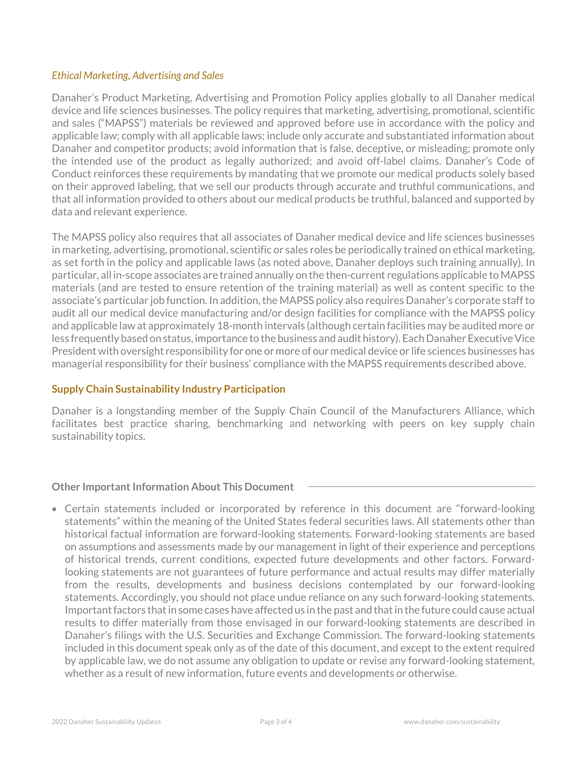## *Ethical Marketing, Advertising and Sales*

Danaher's Product Marketing, Advertising and Promotion Policy applies globally to all Danaher medical device and life sciences businesses. The policy requires that marketing, advertising, promotional, scientific and sales ("MAPSS") materials be reviewed and approved before use in accordance with the policy and applicable law; comply with all applicable laws; include only accurate and substantiated information about Danaher and competitor products; avoid information that is false, deceptive, or misleading; promote only the intended use of the product as legally authorized; and avoid off-label claims. Danaher's Code of Conduct reinforces these requirements by mandating that we promote our medical products solely based on their approved labeling, that we sell our products through accurate and truthful communications, and that all information provided to others about our medical products be truthful, balanced and supported by data and relevant experience.

The MAPSS policy also requires that all associates of Danaher medical device and life sciences businesses in marketing, advertising, promotional, scientific or sales roles be periodically trained on ethical marketing, as set forth in the policy and applicable laws (as noted above, Danaher deploys such training annually). In particular, all in-scope associates are trained annually on the then-current regulations applicable to MAPSS materials (and are tested to ensure retention of the training material) as well as content specific to the associate's particular job function. In addition, the MAPSS policy also requires Danaher's corporate staff to audit all our medical device manufacturing and/or design facilities for compliance with the MAPSS policy and applicable law at approximately 18-month intervals (although certain facilities may be audited more or less frequently based on status, importance to the business and audit history). Each Danaher Executive Vice President with oversight responsibility for one or more of our medical device or life sciences businesses has managerial responsibility for their business' compliance with the MAPSS requirements described above.

# **Supply Chain Sustainability Industry Participation**

Danaher is a longstanding member of the Supply Chain Council of the Manufacturers Alliance, which facilitates best practice sharing, benchmarking and networking with peers on key supply chain sustainability topics.

# **Other Important Information About This Document**

• Certain statements included or incorporated by reference in this document are "forward-looking statements" within the meaning of the United States federal securities laws. All statements other than historical factual information are forward-looking statements. Forward-looking statements are based on assumptions and assessments made by our management in light of their experience and perceptions of historical trends, current conditions, expected future developments and other factors. Forwardlooking statements are not guarantees of future performance and actual results may differ materially from the results, developments and business decisions contemplated by our forward-looking statements. Accordingly, you should not place undue reliance on any such forward-looking statements. Important factors that in some cases have affected us in the past and that in the future could cause actual results to differ materially from those envisaged in our forward-looking statements are described in Danaher's filings with the U.S. Securities and Exchange Commission. The forward-looking statements included in this document speak only as of the date of this document, and except to the extent required by applicable law, we do not assume any obligation to update or revise any forward-looking statement, whether as a result of new information, future events and developments or otherwise.